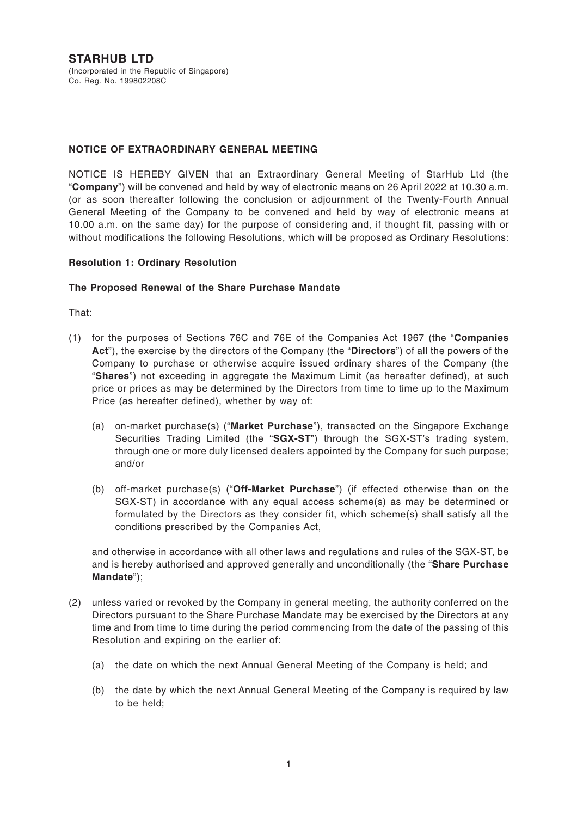**STARHUB LTD** (Incorporated in the Republic of Singapore) Co. Reg. No. 199802208C

# **NOTICE OF EXTRAORDINARY GENERAL MEETING**

NOTICE IS HEREBY GIVEN that an Extraordinary General Meeting of StarHub Ltd (the "**Company**") will be convened and held by way of electronic means on 26 April 2022 at 10.30 a.m. (or as soon thereafter following the conclusion or adjournment of the Twenty-Fourth Annual General Meeting of the Company to be convened and held by way of electronic means at 10.00 a.m. on the same day) for the purpose of considering and, if thought fit, passing with or without modifications the following Resolutions, which will be proposed as Ordinary Resolutions:

## **Resolution 1: Ordinary Resolution**

## **The Proposed Renewal of the Share Purchase Mandate**

That:

- (1) for the purposes of Sections 76C and 76E of the Companies Act 1967 (the "**Companies Act**"), the exercise by the directors of the Company (the "**Directors**") of all the powers of the Company to purchase or otherwise acquire issued ordinary shares of the Company (the "**Shares**") not exceeding in aggregate the Maximum Limit (as hereafter defined), at such price or prices as may be determined by the Directors from time to time up to the Maximum Price (as hereafter defined), whether by way of:
	- (a) on-market purchase(s) ("**Market Purchase**"), transacted on the Singapore Exchange Securities Trading Limited (the "**SGX-ST**") through the SGX-ST's trading system, through one or more duly licensed dealers appointed by the Company for such purpose; and/or
	- (b) off-market purchase(s) ("**Off-Market Purchase**") (if effected otherwise than on the SGX-ST) in accordance with any equal access scheme(s) as may be determined or formulated by the Directors as they consider fit, which scheme(s) shall satisfy all the conditions prescribed by the Companies Act,

and otherwise in accordance with all other laws and regulations and rules of the SGX-ST, be and is hereby authorised and approved generally and unconditionally (the "**Share Purchase Mandate**");

- (2) unless varied or revoked by the Company in general meeting, the authority conferred on the Directors pursuant to the Share Purchase Mandate may be exercised by the Directors at any time and from time to time during the period commencing from the date of the passing of this Resolution and expiring on the earlier of:
	- (a) the date on which the next Annual General Meeting of the Company is held; and
	- (b) the date by which the next Annual General Meeting of the Company is required by law to be held;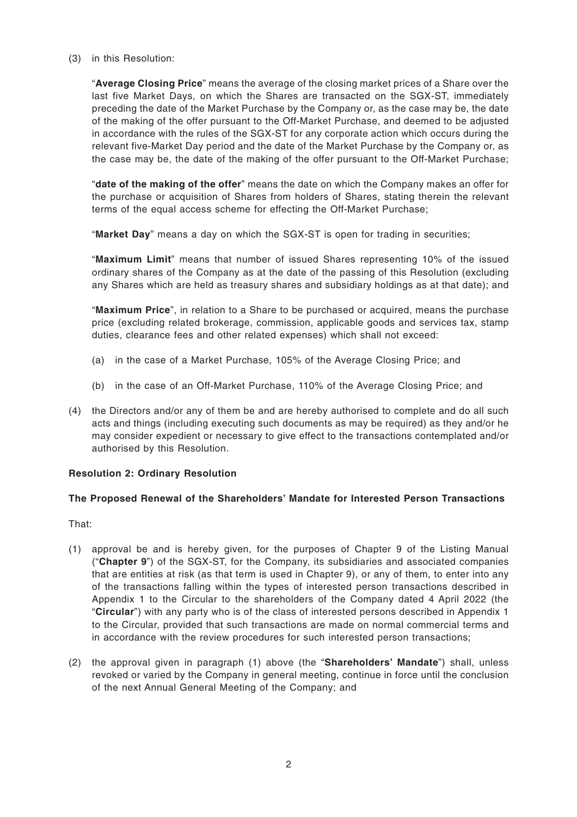(3) in this Resolution:

"**Average Closing Price**" means the average of the closing market prices of a Share over the last five Market Days, on which the Shares are transacted on the SGX-ST, immediately preceding the date of the Market Purchase by the Company or, as the case may be, the date of the making of the offer pursuant to the Off-Market Purchase, and deemed to be adjusted in accordance with the rules of the SGX-ST for any corporate action which occurs during the relevant five-Market Day period and the date of the Market Purchase by the Company or, as the case may be, the date of the making of the offer pursuant to the Off-Market Purchase;

"**date of the making of the offer**" means the date on which the Company makes an offer for the purchase or acquisition of Shares from holders of Shares, stating therein the relevant terms of the equal access scheme for effecting the Off-Market Purchase;

"**Market Day**" means a day on which the SGX-ST is open for trading in securities;

"**Maximum Limit**" means that number of issued Shares representing 10% of the issued ordinary shares of the Company as at the date of the passing of this Resolution (excluding any Shares which are held as treasury shares and subsidiary holdings as at that date); and

"**Maximum Price**", in relation to a Share to be purchased or acquired, means the purchase price (excluding related brokerage, commission, applicable goods and services tax, stamp duties, clearance fees and other related expenses) which shall not exceed:

- (a) in the case of a Market Purchase, 105% of the Average Closing Price; and
- (b) in the case of an Off-Market Purchase, 110% of the Average Closing Price; and
- (4) the Directors and/or any of them be and are hereby authorised to complete and do all such acts and things (including executing such documents as may be required) as they and/or he may consider expedient or necessary to give effect to the transactions contemplated and/or authorised by this Resolution.

# **Resolution 2: Ordinary Resolution**

# **The Proposed Renewal of the Shareholders' Mandate for Interested Person Transactions**

That:

- (1) approval be and is hereby given, for the purposes of Chapter 9 of the Listing Manual ("**Chapter 9**") of the SGX-ST, for the Company, its subsidiaries and associated companies that are entities at risk (as that term is used in Chapter 9), or any of them, to enter into any of the transactions falling within the types of interested person transactions described in Appendix 1 to the Circular to the shareholders of the Company dated 4 April 2022 (the "**Circular**") with any party who is of the class of interested persons described in Appendix 1 to the Circular, provided that such transactions are made on normal commercial terms and in accordance with the review procedures for such interested person transactions;
- (2) the approval given in paragraph (1) above (the "**Shareholders' Mandate**") shall, unless revoked or varied by the Company in general meeting, continue in force until the conclusion of the next Annual General Meeting of the Company; and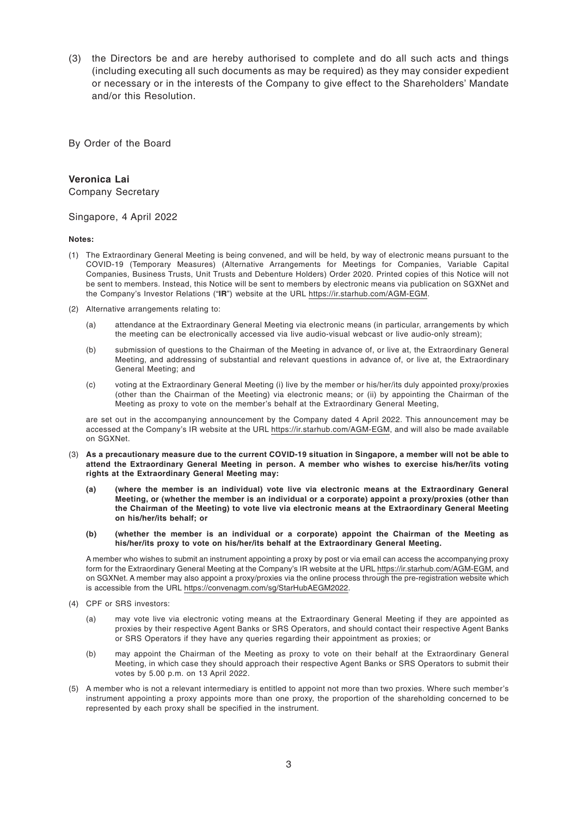(3) the Directors be and are hereby authorised to complete and do all such acts and things (including executing all such documents as may be required) as they may consider expedient or necessary or in the interests of the Company to give effect to the Shareholders' Mandate and/or this Resolution.

By Order of the Board

### **Veronica Lai**

Company Secretary

#### Singapore, 4 April 2022

**Notes:**

- (1) The Extraordinary General Meeting is being convened, and will be held, by way of electronic means pursuant to the COVID-19 (Temporary Measures) (Alternative Arrangements for Meetings for Companies, Variable Capital Companies, Business Trusts, Unit Trusts and Debenture Holders) Order 2020. Printed copies of this Notice will not be sent to members. Instead, this Notice will be sent to members by electronic means via publication on SGXNet and the Company's Investor Relations ("**IR**") website at the URL https://ir.starhub.com/AGM-EGM.
- (2) Alternative arrangements relating to:
	- (a) attendance at the Extraordinary General Meeting via electronic means (in particular, arrangements by which the meeting can be electronically accessed via live audio-visual webcast or live audio-only stream);
	- (b) submission of questions to the Chairman of the Meeting in advance of, or live at, the Extraordinary General Meeting, and addressing of substantial and relevant questions in advance of, or live at, the Extraordinary General Meeting; and
	- (c) voting at the Extraordinary General Meeting (i) live by the member or his/her/its duly appointed proxy/proxies (other than the Chairman of the Meeting) via electronic means; or (ii) by appointing the Chairman of the Meeting as proxy to vote on the member's behalf at the Extraordinary General Meeting,

are set out in the accompanying announcement by the Company dated 4 April 2022. This announcement may be accessed at the Company's IR website at the URL https://ir.starhub.com/AGM-EGM, and will also be made available on SGXNet.

- (3) **As a precautionary measure due to the current COVID-19 situation in Singapore, a member will not be able to attend the Extraordinary General Meeting in person. A member who wishes to exercise his/her/its voting rights at the Extraordinary General Meeting may:**
	- **(a) (where the member is an individual) vote live via electronic means at the Extraordinary General Meeting, or (whether the member is an individual or a corporate) appoint a proxy/proxies (other than the Chairman of the Meeting) to vote live via electronic means at the Extraordinary General Meeting on his/her/its behalf; or**
	- **(b) (whether the member is an individual or a corporate) appoint the Chairman of the Meeting as his/her/its proxy to vote on his/her/its behalf at the Extraordinary General Meeting.**

A member who wishes to submit an instrument appointing a proxy by post or via email can access the accompanying proxy form for the Extraordinary General Meeting at the Company's IR website at the URL https://ir.starhub.com/AGM-EGM, and on SGXNet. A member may also appoint a proxy/proxies via the online process through the pre-registration website which is accessible from the URL https://convenagm.com/sg/StarHubAEGM2022.

- (4) CPF or SRS investors:
	- (a) may vote live via electronic voting means at the Extraordinary General Meeting if they are appointed as proxies by their respective Agent Banks or SRS Operators, and should contact their respective Agent Banks or SRS Operators if they have any queries regarding their appointment as proxies; or
	- (b) may appoint the Chairman of the Meeting as proxy to vote on their behalf at the Extraordinary General Meeting, in which case they should approach their respective Agent Banks or SRS Operators to submit their votes by 5.00 p.m. on 13 April 2022.
- (5) A member who is not a relevant intermediary is entitled to appoint not more than two proxies. Where such member's instrument appointing a proxy appoints more than one proxy, the proportion of the shareholding concerned to be represented by each proxy shall be specified in the instrument.